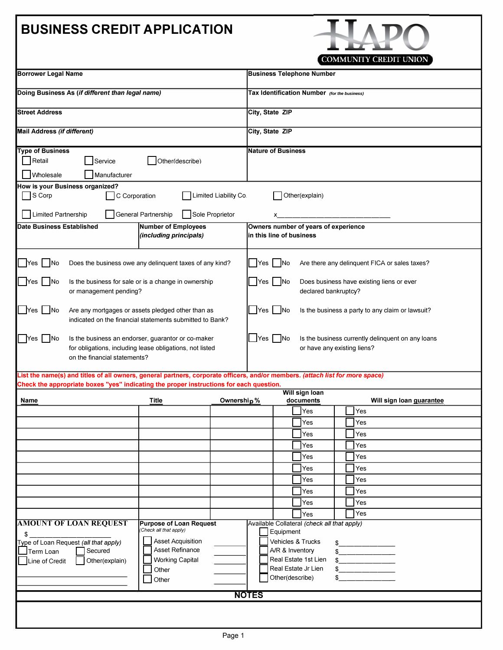## **BUSINESS CREDIT APPLICATION**



| <b>Borrower Legal Name</b>                                                                                                                                                                                               |                                                                                                                |                       |                                                                                                                                                                                                                                                                                                                                                                        | <b>Business Telephone Number</b>             |                         |  |  |                                 |  |  |
|--------------------------------------------------------------------------------------------------------------------------------------------------------------------------------------------------------------------------|----------------------------------------------------------------------------------------------------------------|-----------------------|------------------------------------------------------------------------------------------------------------------------------------------------------------------------------------------------------------------------------------------------------------------------------------------------------------------------------------------------------------------------|----------------------------------------------|-------------------------|--|--|---------------------------------|--|--|
| Doing Business As (if different than legal name)                                                                                                                                                                         |                                                                                                                |                       |                                                                                                                                                                                                                                                                                                                                                                        | Tax Identification Number (for the business) |                         |  |  |                                 |  |  |
| <b>Street Address</b>                                                                                                                                                                                                    |                                                                                                                |                       |                                                                                                                                                                                                                                                                                                                                                                        | City, State ZIP                              |                         |  |  |                                 |  |  |
| Mail Address (if different)                                                                                                                                                                                              |                                                                                                                |                       |                                                                                                                                                                                                                                                                                                                                                                        | City, State ZIP                              |                         |  |  |                                 |  |  |
| <b>Type of Business</b>                                                                                                                                                                                                  |                                                                                                                |                       |                                                                                                                                                                                                                                                                                                                                                                        | <b>Nature of Business</b>                    |                         |  |  |                                 |  |  |
| $\Box$ Retail<br>Other(describe)<br>Service                                                                                                                                                                              |                                                                                                                |                       |                                                                                                                                                                                                                                                                                                                                                                        |                                              |                         |  |  |                                 |  |  |
| Wholesale<br>Manufacturer                                                                                                                                                                                                |                                                                                                                |                       |                                                                                                                                                                                                                                                                                                                                                                        |                                              |                         |  |  |                                 |  |  |
| How is your Business organized?<br>$\Box$ S Corp<br>C Corporation                                                                                                                                                        |                                                                                                                | Limited Liability Co. |                                                                                                                                                                                                                                                                                                                                                                        |                                              | Other(explain)          |  |  |                                 |  |  |
| Limited Partnership                                                                                                                                                                                                      | General Partnership                                                                                            | Sole Proprietor       |                                                                                                                                                                                                                                                                                                                                                                        |                                              |                         |  |  |                                 |  |  |
| <b>Date Business Established</b><br><b>Number of Employees</b><br>(including principals)                                                                                                                                 |                                                                                                                |                       | Owners number of years of experience<br>in this line of business                                                                                                                                                                                                                                                                                                       |                                              |                         |  |  |                                 |  |  |
|                                                                                                                                                                                                                          |                                                                                                                |                       |                                                                                                                                                                                                                                                                                                                                                                        |                                              |                         |  |  |                                 |  |  |
| - INo<br><b>IYes</b>                                                                                                                                                                                                     | Does the business owe any delinquent taxes of any kind?                                                        |                       | No<br>Are there any delinquent FICA or sales taxes?<br> Yes                                                                                                                                                                                                                                                                                                            |                                              |                         |  |  |                                 |  |  |
| <b>No</b><br>Is the business for sale or is a change in ownership<br><b>Yes</b><br>or management pending?                                                                                                                |                                                                                                                |                       | Yes<br>N <sub>o</sub><br>Does business have existing liens or ever<br>declared bankruptcy?                                                                                                                                                                                                                                                                             |                                              |                         |  |  |                                 |  |  |
|                                                                                                                                                                                                                          |                                                                                                                |                       |                                                                                                                                                                                                                                                                                                                                                                        |                                              |                         |  |  |                                 |  |  |
| <b>No</b><br>Are any mortgages or assets pledged other than as<br>Yes<br>indicated on the financial statements submitted to Bank?                                                                                        |                                                                                                                |                       | Yes<br><b>INo</b><br>Is the business a party to any claim or lawsuit?                                                                                                                                                                                                                                                                                                  |                                              |                         |  |  |                                 |  |  |
|                                                                                                                                                                                                                          |                                                                                                                |                       |                                                                                                                                                                                                                                                                                                                                                                        |                                              |                         |  |  |                                 |  |  |
| - INo<br><b>Nes</b>                                                                                                                                                                                                      | Is the business an endorser, guarantor or co-maker<br>for obligations, including lease obligations, not listed |                       | $\sqrt{}$ Yes $\sqrt{}$ No<br>Is the business currently delinquent on any loans<br>or have any existing liens?                                                                                                                                                                                                                                                         |                                              |                         |  |  |                                 |  |  |
| on the financial statements?                                                                                                                                                                                             |                                                                                                                |                       |                                                                                                                                                                                                                                                                                                                                                                        |                                              |                         |  |  |                                 |  |  |
|                                                                                                                                                                                                                          |                                                                                                                |                       |                                                                                                                                                                                                                                                                                                                                                                        |                                              |                         |  |  |                                 |  |  |
| List the name(s) and titles of all owners, general partners, corporate officers, and/or members. (attach list for more space)<br>Check the appropriate boxes "yes" indicating the proper instructions for each question. |                                                                                                                |                       |                                                                                                                                                                                                                                                                                                                                                                        |                                              |                         |  |  |                                 |  |  |
|                                                                                                                                                                                                                          |                                                                                                                |                       |                                                                                                                                                                                                                                                                                                                                                                        |                                              | Will sign Ioan          |  |  |                                 |  |  |
| <u>Name</u>                                                                                                                                                                                                              | <b>Title</b>                                                                                                   | Ownership %           |                                                                                                                                                                                                                                                                                                                                                                        |                                              | <u>documents</u><br>Yes |  |  | Will sign loan guarantee<br>Yes |  |  |
|                                                                                                                                                                                                                          |                                                                                                                |                       |                                                                                                                                                                                                                                                                                                                                                                        |                                              | Yes                     |  |  | Yes                             |  |  |
|                                                                                                                                                                                                                          |                                                                                                                |                       |                                                                                                                                                                                                                                                                                                                                                                        |                                              | $\Box$ Yes              |  |  | $\Box$ Yes                      |  |  |
|                                                                                                                                                                                                                          |                                                                                                                |                       |                                                                                                                                                                                                                                                                                                                                                                        |                                              | Yes                     |  |  | Yes                             |  |  |
|                                                                                                                                                                                                                          |                                                                                                                |                       |                                                                                                                                                                                                                                                                                                                                                                        |                                              | Yes                     |  |  | Yes                             |  |  |
|                                                                                                                                                                                                                          |                                                                                                                |                       |                                                                                                                                                                                                                                                                                                                                                                        |                                              | Yes                     |  |  | Yes                             |  |  |
|                                                                                                                                                                                                                          |                                                                                                                |                       |                                                                                                                                                                                                                                                                                                                                                                        |                                              | Yes                     |  |  | Yes                             |  |  |
|                                                                                                                                                                                                                          |                                                                                                                |                       |                                                                                                                                                                                                                                                                                                                                                                        |                                              | Yes                     |  |  | Yes                             |  |  |
|                                                                                                                                                                                                                          |                                                                                                                |                       |                                                                                                                                                                                                                                                                                                                                                                        |                                              | Yes                     |  |  | Yes                             |  |  |
|                                                                                                                                                                                                                          |                                                                                                                |                       |                                                                                                                                                                                                                                                                                                                                                                        |                                              | Yes                     |  |  | Yes                             |  |  |
| <b>AMOUNT OF LOAN REQUEST</b>                                                                                                                                                                                            | <b>Purpose of Loan Request</b>                                                                                 |                       | Available Collateral (check all that apply)                                                                                                                                                                                                                                                                                                                            |                                              |                         |  |  |                                 |  |  |
| \$                                                                                                                                                                                                                       | (Check all that apply)                                                                                         |                       |                                                                                                                                                                                                                                                                                                                                                                        | Equipment                                    |                         |  |  |                                 |  |  |
| Type of Loan Request (all that apply)                                                                                                                                                                                    | <b>Asset Acquisition</b>                                                                                       |                       |                                                                                                                                                                                                                                                                                                                                                                        | Vehicles & Trucks                            |                         |  |  |                                 |  |  |
| Asset Refinance<br>Secured<br>Term Loan                                                                                                                                                                                  |                                                                                                                |                       | $\begin{picture}(20,10) \put(0,0){\line(1,0){100}} \put(0,0){\line(1,0){100}} \put(0,0){\line(1,0){100}} \put(0,0){\line(1,0){100}} \put(0,0){\line(1,0){100}} \put(0,0){\line(1,0){100}} \put(0,0){\line(1,0){100}} \put(0,0){\line(1,0){100}} \put(0,0){\line(1,0){100}} \put(0,0){\line(1,0){100}} \put(0,0){\line(1,0){100}} \put(0,0){\line(1$<br>A/R & Inventory |                                              |                         |  |  |                                 |  |  |
| <b>Working Capital</b><br>  Line of Credit<br>Other(explain)<br>Other                                                                                                                                                    |                                                                                                                |                       | Real Estate 1st Lien<br>$ -$<br>Real Estate Jr Lien                                                                                                                                                                                                                                                                                                                    |                                              |                         |  |  |                                 |  |  |
| Other                                                                                                                                                                                                                    |                                                                                                                |                       |                                                                                                                                                                                                                                                                                                                                                                        | Other(describe)<br>$\sim$                    |                         |  |  |                                 |  |  |
|                                                                                                                                                                                                                          |                                                                                                                |                       |                                                                                                                                                                                                                                                                                                                                                                        |                                              |                         |  |  |                                 |  |  |
|                                                                                                                                                                                                                          |                                                                                                                |                       | <b>NOTES</b>                                                                                                                                                                                                                                                                                                                                                           |                                              |                         |  |  |                                 |  |  |
|                                                                                                                                                                                                                          |                                                                                                                |                       |                                                                                                                                                                                                                                                                                                                                                                        |                                              |                         |  |  |                                 |  |  |
|                                                                                                                                                                                                                          |                                                                                                                |                       |                                                                                                                                                                                                                                                                                                                                                                        |                                              |                         |  |  |                                 |  |  |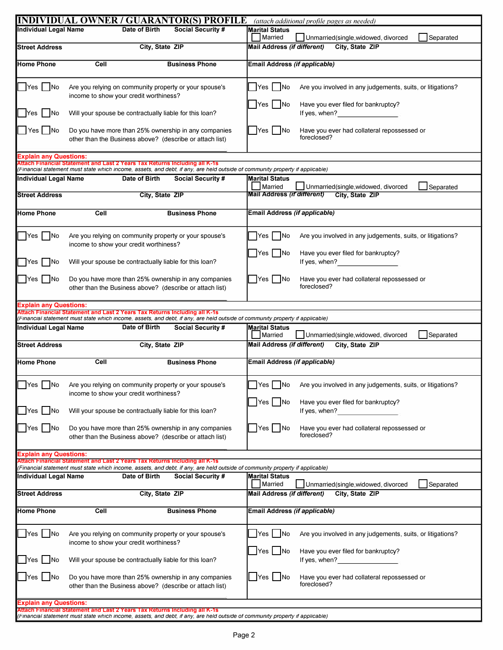|                                      | <b>INDIVIDUAL OWNER / GUARANTOR(S) PROFILE</b>                                                                                                                                                              | (attach additional profile pages as needed)                                                                  |
|--------------------------------------|-------------------------------------------------------------------------------------------------------------------------------------------------------------------------------------------------------------|--------------------------------------------------------------------------------------------------------------|
| Individual Legal Name                | Date of Birth<br><b>Social Security #</b>                                                                                                                                                                   | <b>Marital Status</b><br>Married<br>Separated<br>Unmarried(single,widowed, divorced                          |
| <b>Street Address</b>                | City, State ZIP                                                                                                                                                                                             | City, State ZIP<br><b>Mail Address (if different)</b>                                                        |
| Home Phone                           | Cell<br><b>Business Phone</b>                                                                                                                                                                               | Email Address (if applicable)                                                                                |
|                                      |                                                                                                                                                                                                             |                                                                                                              |
| Yes No                               | Are you relying on community property or your spouse's<br>income to show your credit worthiness?                                                                                                            | Yes <sub>1</sub><br> No<br>Are you involved in any judgements, suits, or litigations?                        |
| Yes   No                             | Will your spouse be contractually liable for this loan?                                                                                                                                                     | $Yes$ No<br>Have you ever filed for bankruptcy?<br>If yes, when?                                             |
| Yes No                               | Do you have more than 25% ownership in any companies<br>other than the Business above? (describe or attach list)                                                                                            | $\bigcap$ Yes $\bigcap$ No<br>Have you ever had collateral repossessed or<br>foreclosed?                     |
| <b>Explain any Questions:</b>        |                                                                                                                                                                                                             |                                                                                                              |
|                                      | Attach Financial Statement and Last 2 Years Tax Returns Including all K-1s                                                                                                                                  |                                                                                                              |
|                                      | (Financial statement must state which income, assets, and debt, if any, are held outside of community property if applicable)                                                                               |                                                                                                              |
| <b>Individual Legal Name</b>         | Date of Birth<br><b>Social Security #</b>                                                                                                                                                                   | <b>Marital Status</b><br>Married<br>Unmarried(single,widowed, divorced<br>Separated                          |
| <b>Street Address</b>                | City, State ZIP                                                                                                                                                                                             | <b>Mail Address (if different)</b><br>City, State ZIP                                                        |
| Home Phone                           | Cell<br><b>Business Phone</b>                                                                                                                                                                               | Email Address (if applicable)                                                                                |
|                                      |                                                                                                                                                                                                             |                                                                                                              |
| $Yes$ No                             | Are you relying on community property or your spouse's<br>income to show your credit worthiness?                                                                                                            | Yes   No<br>Are you involved in any judgements, suits, or litigations?                                       |
| Yes No                               | Will your spouse be contractually liable for this loan?                                                                                                                                                     | $Yes$ $\vdash$<br> No<br>Have you ever filed for bankruptcy?<br>If yes, when?                                |
| Yes   No                             | Do you have more than 25% ownership in any companies<br>other than the Business above? (describe or attach list)                                                                                            | Yes   No<br>Have you ever had collateral repossessed or<br>foreclosed?                                       |
|                                      |                                                                                                                                                                                                             |                                                                                                              |
| <b>Explain any Questions:</b>        | Attach Financial Statement and Last 2 Years Tax Returns Including all K-1s                                                                                                                                  |                                                                                                              |
|                                      | (Financial statement must state which income, assets, and debt, if any, are held outside of community property if applicable)                                                                               |                                                                                                              |
| <b>Individual Legal Name</b>         | Date of Birth<br><b>Social Security #</b>                                                                                                                                                                   | <b>Marital Status</b><br>Married<br>Unmarried(single,widowed, divorced<br>Separated                          |
| <b>Street Address</b>                | City, State ZIP                                                                                                                                                                                             | <b>Mail Address (if different)</b><br>City, State ZIP                                                        |
| <b>Home Phone</b>                    | Cell<br><b>Business Phone</b>                                                                                                                                                                               | Email Address (if applicable)                                                                                |
|                                      |                                                                                                                                                                                                             |                                                                                                              |
|                                      | Yes No Are you relying on community property or your spouse's<br>income to show your credit worthiness?                                                                                                     | Tes no Are you involved in any judgements, suits, or litigations?                                            |
| $\Box$ Yes $\Box$ No                 | Will your spouse be contractually liable for this loan?                                                                                                                                                     | $Yes$ No<br>Have you ever filed for bankruptcy?<br>If yes, when?<br><u>If</u> yes, when?                     |
| $\blacksquare$ Yes $\blacksquare$ No | Do you have more than 25% ownership in any companies<br>other than the Business above? (describe or attach list)                                                                                            | $Yes$ No<br>Have you ever had collateral repossessed or<br>foreclosed?                                       |
| <b>Explain any Questions:</b>        |                                                                                                                                                                                                             |                                                                                                              |
|                                      | Attach Financial Statement and Last 2 Years Tax Returns Including all K-1s                                                                                                                                  |                                                                                                              |
|                                      | (Financial statement must state which income, assets, and debt, if any, are held outside of community property if applicable)                                                                               |                                                                                                              |
| Individual Legal Name                | Date of Birth<br><b>Social Security #</b>                                                                                                                                                                   | <b>Marital Status</b>                                                                                        |
| Street Address                       | City, State ZIP                                                                                                                                                                                             | Married<br>Separated<br>Unmarried(single,widowed, divorced<br>Mail Address (if different)<br>City, State ZIP |
| <b>Home Phone</b>                    | Cell<br><b>Business Phone</b>                                                                                                                                                                               | Email Address (if applicable)                                                                                |
| Yes No                               | Are you relying on community property or your spouse's<br>income to show your credit worthiness?                                                                                                            | $Yes$ $ $ $ $ No<br>Are you involved in any judgements, suits, or litigations?                               |
| $Yes$ No                             | Will your spouse be contractually liable for this loan?                                                                                                                                                     | Yes No<br>Have you ever filed for bankruptcy?<br>If yes, when?<br><u>Letting</u>                             |
| $Yes$ No                             | Do you have more than 25% ownership in any companies<br>other than the Business above? (describe or attach list)                                                                                            | $\Box$ Yes $\Box$ No<br>Have you ever had collateral repossessed or<br>foreclosed?                           |
| <b>Explain any Questions:</b>        |                                                                                                                                                                                                             |                                                                                                              |
|                                      | Attach Financial Statement and Last 2 Years Tax Returns Including all K-1s<br>(Financial statement must state which income, assets, and debt, if any, are held outside of community property if applicable) |                                                                                                              |